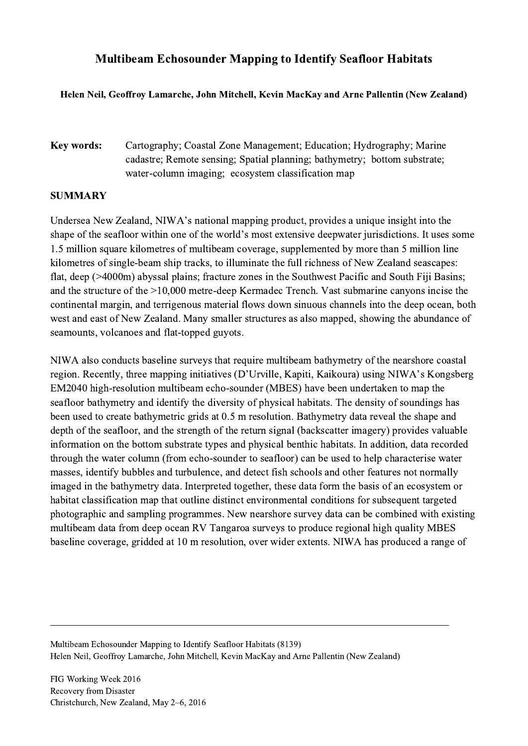## Multibeam Echosounder Mapping to Identify Seafloor Habitats

## Helen Neil, Geoffroy Lamarche, John Mitchell, Kevin MacKay and Arne Pallentin (New Zealand)

Key words: Cartography; Coastal Zone Management; Education; Hydrography; Marine cadastre; Remote sensing; Spatial planning; bathymetry; bottom substrate; water-column imaging; ecosystem classification map

## **SUMMARY**

Undersea New Zealand, NIWA's national mapping product, provides a unique insight into the shape of the seafloor within one of the world's most extensive deepwater jurisdictions. It uses some 1.5 million square kilometres of multibeam coverage, supplemented by more than 5 million line kilometres of single-beam ship tracks, to illuminate the full richness of New Zealand seascapes: flat, deep (>4000m) abyssal plains; fracture zones in the Southwest Pacific and South Fiji Basins; and the structure of the >10,000 metre-deep Kermadec Trench. Vast submarine canyons incise the continental margin, and terrigenous material flows down sinuous channels into the deep ocean, both west and east of New Zealand. Many smaller structures as also mapped, showing the abundance of seamounts, volcanoes and flat-topped guyots.

NIWA also conducts baseline surveys that require multibeam bathymetry of the nearshore coastal region. Recently, three mapping initiatives (D'Urville, Kapiti, Kaikoura) using NIWA's Kongsberg EM2040 high-resolution multibeam echo-sounder (MBES) have been undertaken to map the seafloor bathymetry and identify the diversity of physical habitats. The density of soundings has been used to create bathymetric grids at 0.5 m resolution. Bathymetry data reveal the shape and depth of the seafloor, and the strength of the return signal (backscatter imagery) provides valuable information on the bottom substrate types and physical benthic habitats. In addition, data recorded through the water column (from echo-sounder to seafloor) can be used to help characterise water masses, identify bubbles and turbulence, and detect fish schools and other features not normally imaged in the bathymetry data. Interpreted together, these data form the basis of an ecosystem or habitat classification map that outline distinct environmental conditions for subsequent targeted photographic and sampling programmes. New nearshore survey data can be combined with existing multibeam data from deep ocean RV Tangaroa surveys to produce regional high quality MBES baseline coverage, gridded at 10 m resolution, over wider extents. NIWA has produced a range of

Multibeam Echosounder Mapping to Identify Seafloor Habitats (8139) Helen Neil, Geoffroy Lamarche, John Mitchell, Kevin MacKay and Arne Pallentin (New Zealand)

 $\mathcal{L}_\mathcal{L} = \{ \mathcal{L}_\mathcal{L} = \{ \mathcal{L}_\mathcal{L} = \{ \mathcal{L}_\mathcal{L} = \{ \mathcal{L}_\mathcal{L} = \{ \mathcal{L}_\mathcal{L} = \{ \mathcal{L}_\mathcal{L} = \{ \mathcal{L}_\mathcal{L} = \{ \mathcal{L}_\mathcal{L} = \{ \mathcal{L}_\mathcal{L} = \{ \mathcal{L}_\mathcal{L} = \{ \mathcal{L}_\mathcal{L} = \{ \mathcal{L}_\mathcal{L} = \{ \mathcal{L}_\mathcal{L} = \{ \mathcal{L}_\mathcal{$ 

FIG Working Week 2016 Recovery from Disaster Christchurch, New Zealand, May 2–6, 2016